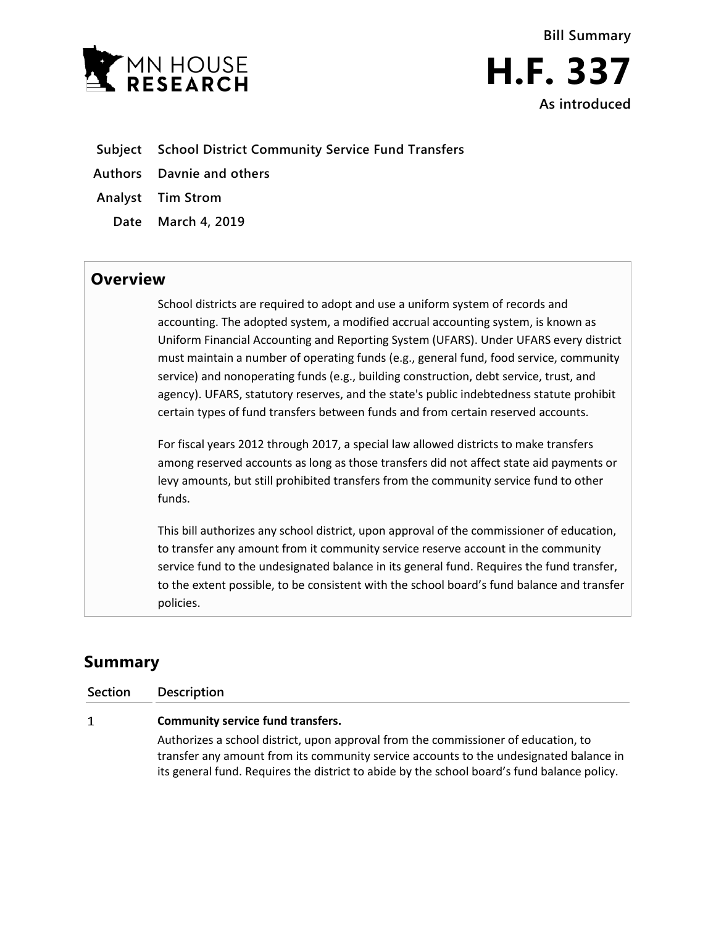



- **Subject School District Community Service Fund Transfers**
- **Authors Davnie and others**
- **Analyst Tim Strom**
	- **Date March 4, 2019**

## **Overview**

School districts are required to adopt and use a uniform system of records and accounting. The adopted system, a modified accrual accounting system, is known as Uniform Financial Accounting and Reporting System (UFARS). Under UFARS every district must maintain a number of operating funds (e.g., general fund, food service, community service) and nonoperating funds (e.g., building construction, debt service, trust, and agency). UFARS, statutory reserves, and the state's public indebtedness statute prohibit certain types of fund transfers between funds and from certain reserved accounts.

For fiscal years 2012 through 2017, a special law allowed districts to make transfers among reserved accounts as long as those transfers did not affect state aid payments or levy amounts, but still prohibited transfers from the community service fund to other funds.

This bill authorizes any school district, upon approval of the commissioner of education, to transfer any amount from it community service reserve account in the community service fund to the undesignated balance in its general fund. Requires the fund transfer, to the extent possible, to be consistent with the school board's fund balance and transfer policies.

## **Summary**

| <b>Section</b> | Description                                                                                                                                                                                                                                                                 |
|----------------|-----------------------------------------------------------------------------------------------------------------------------------------------------------------------------------------------------------------------------------------------------------------------------|
| 1              | <b>Community service fund transfers.</b>                                                                                                                                                                                                                                    |
|                | Authorizes a school district, upon approval from the commissioner of education, to<br>transfer any amount from its community service accounts to the undesignated balance in<br>its general fund. Requires the district to abide by the school board's fund balance policy. |